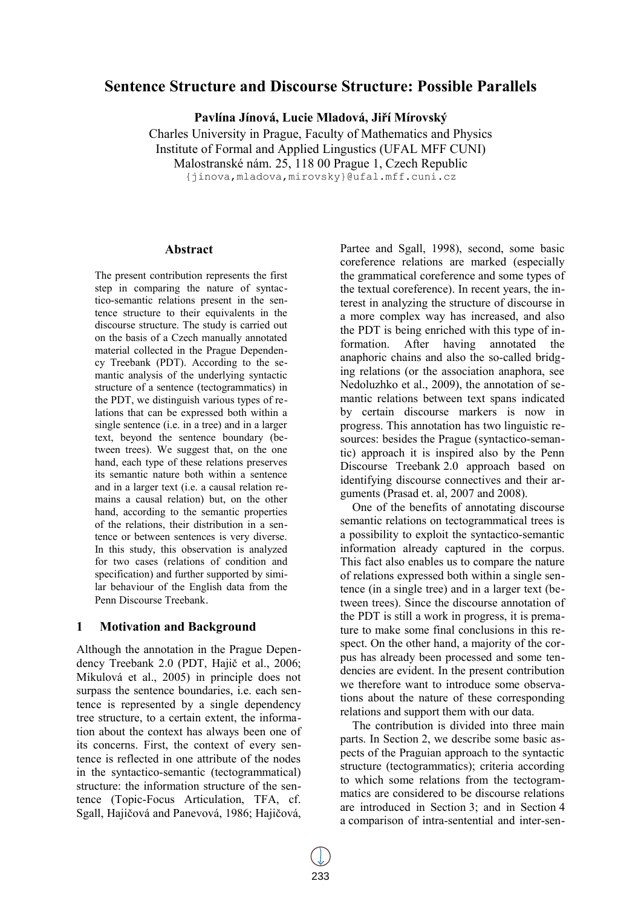# **Sentence Structure and Discourse Structure: Possible Parallels**

**Pavlína Jínová, Lucie Mladová, Jiří Mírovský**

Charles University in Prague, Faculty of Mathematics and Physics

Institute of Formal and Applied Lingustics (UFAL MFF CUNI)

Malostranské nám. 25, 118 00 Prague 1, Czech Republic

{jinova,mladova,mirovsky}@ufal.mff.cuni.cz

#### **Abstract**

The present contribution represents the first step in comparing the nature of syntactico-semantic relations present in the sentence structure to their equivalents in the discourse structure. The study is carried out on the basis of a Czech manually annotated material collected in the Prague Dependency Treebank (PDT). According to the semantic analysis of the underlying syntactic structure of a sentence (tectogrammatics) in the PDT, we distinguish various types of relations that can be expressed both within a single sentence (i.e. in a tree) and in a larger text, beyond the sentence boundary (between trees). We suggest that, on the one hand, each type of these relations preserves its semantic nature both within a sentence and in a larger text (i.e. a causal relation remains a causal relation) but, on the other hand, according to the semantic properties of the relations, their distribution in a sentence or between sentences is very diverse. In this study, this observation is analyzed for two cases (relations of condition and specification) and further supported by similar behaviour of the English data from the Penn Discourse Treebank.

## **1 Motivation and Background**

Although the annotation in the Prague Dependency Treebank 2.0 (PDT, Hajič et al., 2006; Mikulová et al., 2005) in principle does not surpass the sentence boundaries, i.e. each sentence is represented by a single dependency tree structure, to a certain extent, the information about the context has always been one of its concerns. First, the context of every sentence is reflected in one attribute of the nodes in the syntactico-semantic (tectogrammatical) structure: the information structure of the sentence (Topic-Focus Articulation, TFA, cf. Sgall, Hajičová and Panevová, 1986; Hajičová, Partee and Sgall, 1998), second, some basic coreference relations are marked (especially the grammatical coreference and some types of the textual coreference). In recent years, the interest in analyzing the structure of discourse in a more complex way has increased, and also the PDT is being enriched with this type of information. After having annotated the anaphoric chains and also the so-called bridging relations (or the association anaphora, see Nedoluzhko et al., 2009), the annotation of semantic relations between text spans indicated by certain discourse markers is now in progress. This annotation has two linguistic resources: besides the Prague (syntactico-semantic) approach it is inspired also by the Penn Discourse Treebank 2.0 approach based on identifying discourse connectives and their arguments (Prasad et. al, 2007 and 2008).

One of the benefits of annotating discourse semantic relations on tectogrammatical trees is a possibility to exploit the syntactico-semantic information already captured in the corpus. This fact also enables us to compare the nature of relations expressed both within a single sentence (in a single tree) and in a larger text (between trees). Since the discourse annotation of the PDT is still a work in progress, it is premature to make some final conclusions in this respect. On the other hand, a majority of the corpus has already been processed and some tendencies are evident. In the present contribution we therefore want to introduce some observations about the nature of these corresponding relations and support them with our data.

The contribution is divided into three main parts. In Section 2, we describe some basic aspects of the Praguian approach to the syntactic structure (tectogrammatics); criteria according to which some relations from the tectogrammatics are considered to be discourse relations are introduced in Section 3; and in Section 4 a comparison of intra-sentential and inter-sen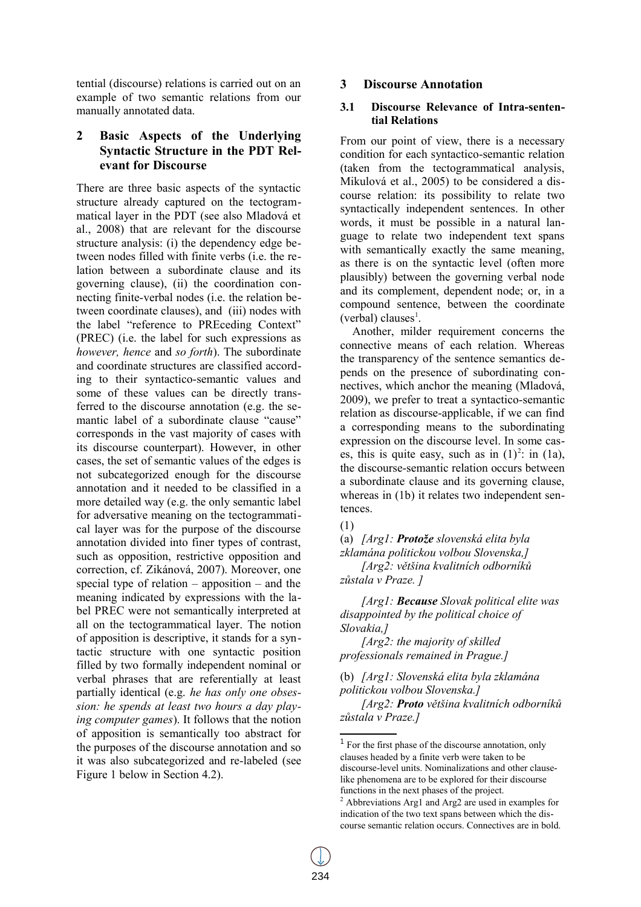tential (discourse) relations is carried out on an example of two semantic relations from our manually annotated data.

## **2 Basic Aspects of the Underlying Syntactic Structure in the PDT Relevant for Discourse**

There are three basic aspects of the syntactic structure already captured on the tectogrammatical layer in the PDT (see also Mladová et al., 2008) that are relevant for the discourse structure analysis: (i) the dependency edge between nodes filled with finite verbs (i.e. the relation between a subordinate clause and its governing clause), (ii) the coordination connecting finite-verbal nodes (i.e. the relation between coordinate clauses), and (iii) nodes with the label "reference to PREceding Context" (PREC) (i.e. the label for such expressions as *however, hence* and *so forth*). The subordinate and coordinate structures are classified according to their syntactico-semantic values and some of these values can be directly transferred to the discourse annotation (e.g. the semantic label of a subordinate clause "cause" corresponds in the vast majority of cases with its discourse counterpart). However, in other cases, the set of semantic values of the edges is not subcategorized enough for the discourse annotation and it needed to be classified in a more detailed way (e.g. the only semantic label for adversative meaning on the tectogrammatical layer was for the purpose of the discourse annotation divided into finer types of contrast, such as opposition, restrictive opposition and correction, cf. Zikánová, 2007). Moreover, one special type of relation – apposition – and the meaning indicated by expressions with the label PREC were not semantically interpreted at all on the tectogrammatical layer. The notion of apposition is descriptive, it stands for a syntactic structure with one syntactic position filled by two formally independent nominal or verbal phrases that are referentially at least partially identical (e.g. *he has only one obsession: he spends at least two hours a day playing computer games*). It follows that the notion of apposition is semantically too abstract for the purposes of the discourse annotation and so it was also subcategorized and re-labeled (see Figure 1 below in Section 4.2).

## **3 Discourse Annotation**

## **3.1 Discourse Relevance of Intra-sentential Relations**

From our point of view, there is a necessary condition for each syntactico-semantic relation (taken from the tectogrammatical analysis, Mikulová et al., 2005) to be considered a discourse relation: its possibility to relate two syntactically independent sentences. In other words, it must be possible in a natural language to relate two independent text spans with semantically exactly the same meaning, as there is on the syntactic level (often more plausibly) between the governing verbal node and its complement, dependent node; or, in a compound sentence, between the coordinate (verbal) clauses<sup>1</sup>.

Another, milder requirement concerns the connective means of each relation. Whereas the transparency of the sentence semantics depends on the presence of subordinating connectives, which anchor the meaning (Mladová, 2009), we prefer to treat a syntactico-semantic relation as discourse-applicable, if we can find a corresponding means to the subordinating expression on the discourse level. In some cases, this is quite easy, such as in  $(1)^2$ : in  $(1a)$ , the discourse-semantic relation occurs between a subordinate clause and its governing clause, whereas in (1b) it relates two independent sentences.

(1)

(a) *[Arg1: Protože slovenská elita byla zklamána politickou volbou Slovenska,] [Arg2: většina kvalitních odborníků*

*zůstala v Praze. ]*

*[Arg1: Because Slovak political elite was disappointed by the political choice of Slovakia,]* 

*[Arg2: the majority of skilled professionals remained in Prague.]*

(b) *[Arg1: Slovenská elita byla zklamána politickou volbou Slovenska.]* 

*[Arg2: Proto většina kvalitních odborníků zůstala v Praze.]*

<sup>&</sup>lt;sup>1</sup> For the first phase of the discourse annotation, only clauses headed by a finite verb were taken to be discourse-level units. Nominalizations and other clauselike phenomena are to be explored for their discourse functions in the next phases of the project.

<sup>2</sup> Abbreviations Arg1 and Arg2 are used in examples for indication of the two text spans between which the discourse semantic relation occurs. Connectives are in bold.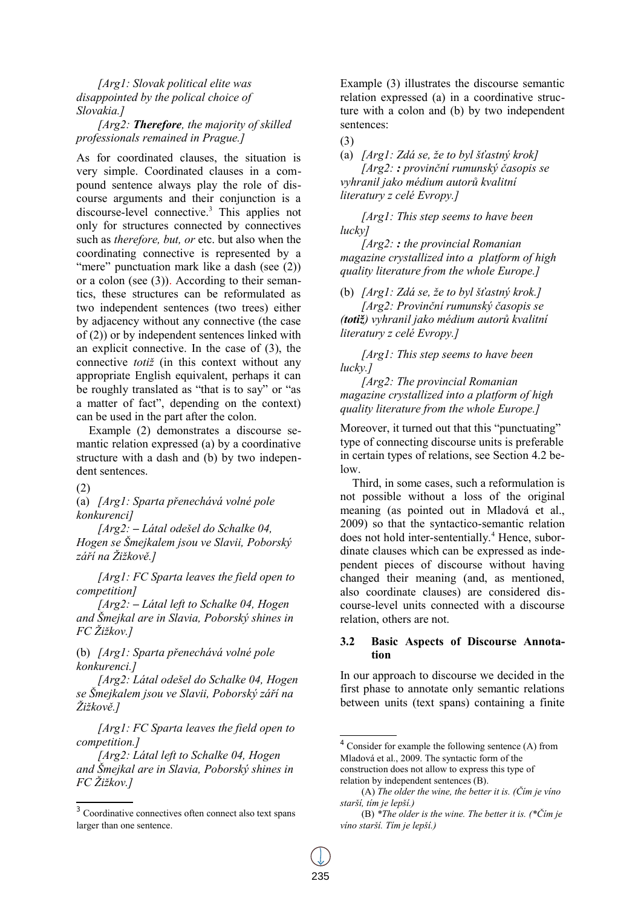*[Arg1: Slovak political elite was disappointed by the polical choice of Slovakia.]* 

*[Arg2: Therefore, the majority of skilled professionals remained in Prague.]*

As for coordinated clauses, the situation is very simple. Coordinated clauses in a compound sentence always play the role of discourse arguments and their conjunction is a discourse-level connective.<sup>3</sup> This applies not only for structures connected by connectives such as *therefore, but, or* etc. but also when the coordinating connective is represented by a "mere" punctuation mark like a dash (see (2)) or a colon (see (3)). According to their semantics, these structures can be reformulated as two independent sentences (two trees) either by adjacency without any connective (the case of (2)) or by independent sentences linked with an explicit connective. In the case of (3), the connective *totiž* (in this context without any appropriate English equivalent, perhaps it can be roughly translated as "that is to say" or "as a matter of fact", depending on the context) can be used in the part after the colon.

Example (2) demonstrates a discourse semantic relation expressed (a) by a coordinative structure with a dash and (b) by two independent sentences.

(2)

(a) *[Arg1: Sparta přenechává volné pole konkurenci]*

*[Arg2: – Látal odešel do Schalke 04, Hogen se Šmejkalem jsou ve Slavii, Poborský září na Žižkově.]*

*[Arg1: FC Sparta leaves the field open to competition]*

*[Arg2: – Látal left to Schalke 04, Hogen and Šmejkal are in Slavia, Poborský shines in FC Žižkov.]*

(b) *[Arg1: Sparta přenechává volné pole konkurenci.]*

*[Arg2: Látal odešel do Schalke 04, Hogen se Šmejkalem jsou ve Slavii, Poborský září na Žižkově.]*

*[Arg1: FC Sparta leaves the field open to competition.]*

*[Arg2: Látal left to Schalke 04, Hogen and Šmejkal are in Slavia, Poborský shines in FC Žižkov.]*

Example (3) illustrates the discourse semantic relation expressed (a) in a coordinative structure with a colon and (b) by two independent sentences:

(3)

(a) *[Arg1: Zdá se, že to byl šťastný krok] [Arg2: : provinční rumunský časopis se vyhranil jako médium autorů kvalitní literatury z celé Evropy.]*

*[Arg1: This step seems to have been lucky]*

*[Arg2: : the provincial Romanian magazine crystallized into a platform of high quality literature from the whole Europe.]*

(b) *[Arg1: Zdá se, že to byl šťastný krok.]*

*[Arg2: Provinční rumunský časopis se (totiž) vyhranil jako médium autorů kvalitní literatury z celé Evropy.]*

*[Arg1: This step seems to have been lucky.]*

*[Arg2: The provincial Romanian magazine crystallized into a platform of high quality literature from the whole Europe.]*

Moreover, it turned out that this "punctuating" type of connecting discourse units is preferable in certain types of relations, see Section 4.2 below.

Third, in some cases, such a reformulation is not possible without a loss of the original meaning (as pointed out in Mladová et al., 2009) so that the syntactico-semantic relation does not hold inter-sententially.<sup>4</sup> Hence, subordinate clauses which can be expressed as independent pieces of discourse without having changed their meaning (and, as mentioned, also coordinate clauses) are considered discourse-level units connected with a discourse relation, others are not.

#### **3.2 Basic Aspects of Discourse Annotation**

In our approach to discourse we decided in the first phase to annotate only semantic relations between units (text spans) containing a finite

<sup>3</sup> Coordinative connectives often connect also text spans larger than one sentence.

 $4$  Consider for example the following sentence (A) from Mladová et al., 2009. The syntactic form of the construction does not allow to express this type of relation by independent sentences (B).

<sup>(</sup>A) *The older the wine, the better it is. (Čím je víno starší, tím je lepší.)*

<sup>(</sup>B) *\*The older is the wine. The better it is. (\*Čím je víno starší. Tím je lepší.)*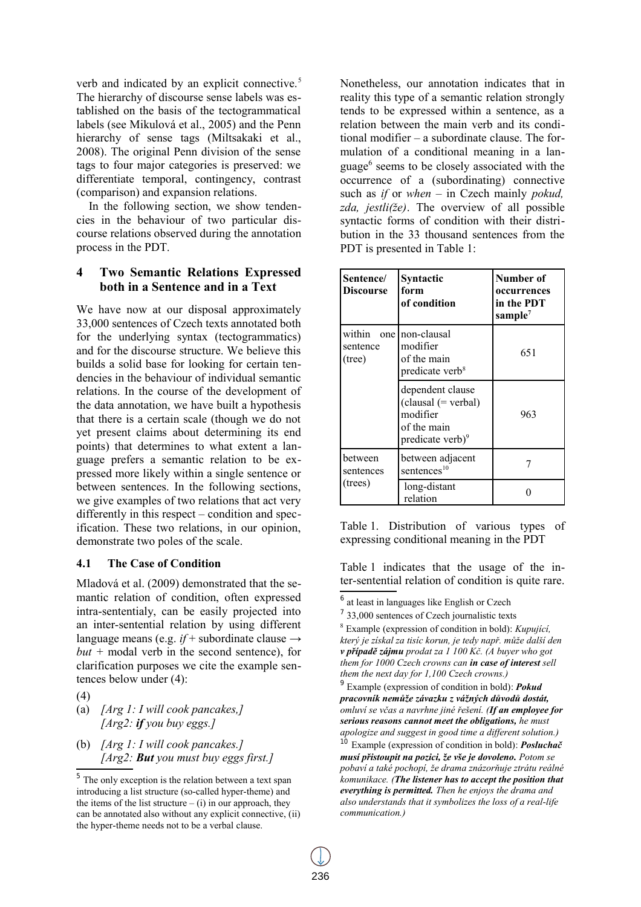verb and indicated by an explicit connective.<sup>5</sup> The hierarchy of discourse sense labels was established on the basis of the tectogrammatical labels (see Mikulová et al., 2005) and the Penn hierarchy of sense tags (Miltsakaki et al., 2008). The original Penn division of the sense tags to four major categories is preserved: we differentiate temporal, contingency, contrast (comparison) and expansion relations.

In the following section, we show tendencies in the behaviour of two particular discourse relations observed during the annotation process in the PDT.

## **4 Two Semantic Relations Expressed both in a Sentence and in a Text**

We have now at our disposal approximately 33,000 sentences of Czech texts annotated both for the underlying syntax (tectogrammatics) and for the discourse structure. We believe this builds a solid base for looking for certain tendencies in the behaviour of individual semantic relations. In the course of the development of the data annotation, we have built a hypothesis that there is a certain scale (though we do not yet present claims about determining its end points) that determines to what extent a language prefers a semantic relation to be expressed more likely within a single sentence or between sentences. In the following sections, we give examples of two relations that act very differently in this respect – condition and specification. These two relations, in our opinion, demonstrate two poles of the scale.

## **4.1 The Case of Condition**

Mladová et al. (2009) demonstrated that the semantic relation of condition, often expressed intra-sententialy, can be easily projected into an inter-sentential relation by using different language means (e.g.  $if$  + subordinate clause  $\rightarrow$ *but +* modal verb in the second sentence), for clarification purposes we cite the example sentences below under (4):

 $(4)$ 

- (a) *[Arg 1: I will cook pancakes,] [Arg2: if you buy eggs.]*
- (b) *[Arg 1: I will cook pancakes.] [Arg2: But you must buy eggs first.]*

Nonetheless, our annotation indicates that in reality this type of a semantic relation strongly tends to be expressed within a sentence, as a relation between the main verb and its conditional modifier – a subordinate clause. The formulation of a conditional meaning in a language<sup>6</sup> seems to be closely associated with the occurrence of a (subordinating) connective such as *if* or *when* – in Czech mainly *pokud, zda, jestli(že)*. The overview of all possible syntactic forms of condition with their distribution in the 33 thousand sentences from the PDT is presented in Table 1:

| Sentence/<br><b>Discourse</b>   | <b>Syntactic</b><br>form<br>of condition                                                            | Number of<br>occurrences<br>in the PDT<br>sample <sup>7</sup> |  |
|---------------------------------|-----------------------------------------------------------------------------------------------------|---------------------------------------------------------------|--|
| within<br>sentence<br>(tree)    | one I non-clausal<br>modifier<br>of the main<br>predicate verb <sup>8</sup>                         | 651                                                           |  |
|                                 | dependent clause<br>$clausal (= verbal)$<br>modifier<br>of the main<br>predicate verb) <sup>9</sup> | 963                                                           |  |
| between<br>sentences<br>(trees) | between adjacent<br>sentences $10$                                                                  |                                                               |  |
|                                 | long-distant<br>relation                                                                            |                                                               |  |

Table 1. Distribution of various types of expressing conditional meaning in the PDT

Table 1 indicates that the usage of the inter-sentential relation of condition is quite rare.

<sup>&</sup>lt;sup>5</sup> The only exception is the relation between a text span introducing a list structure (so-called hyper-theme) and the items of the list structure  $-$  (i) in our approach, they can be annotated also without any explicit connective, (ii) the hyper-theme needs not to be a verbal clause.

<sup>&</sup>lt;sup>6</sup> at least in languages like English or Czech

<sup>&</sup>lt;sup>7</sup> 33,000 sentences of Czech journalistic texts

<sup>8</sup> Example (expression of condition in bold): *Kupující, který je získal za tisíc korun, je tedy např. může další den v případě zájmu prodat za 1 100 Kč. (A buyer who got them for 1000 Czech crowns can in case of interest sell them the next day for 1,100 Czech crowns.)*

<sup>9</sup> Example (expression of condition in bold): *Pokud pracovník nemůže závazku z vážných důvodů dostát, omluví se včas a navrhne jiné řešení. (If an employee for serious reasons cannot meet the obligations, he must apologize and suggest in good time a different solution.)*

<sup>10</sup> Example (expression of condition in bold): *Posluchač musí přistoupit na pozici, že vše je dovoleno. Potom se pobaví a také pochopí, že drama znázorňuje ztrátu reálné komunikace. (The listener has to accept the position that everything is permitted. Then he enjoys the drama and also understands that it symbolizes the loss of a real-life communication.)*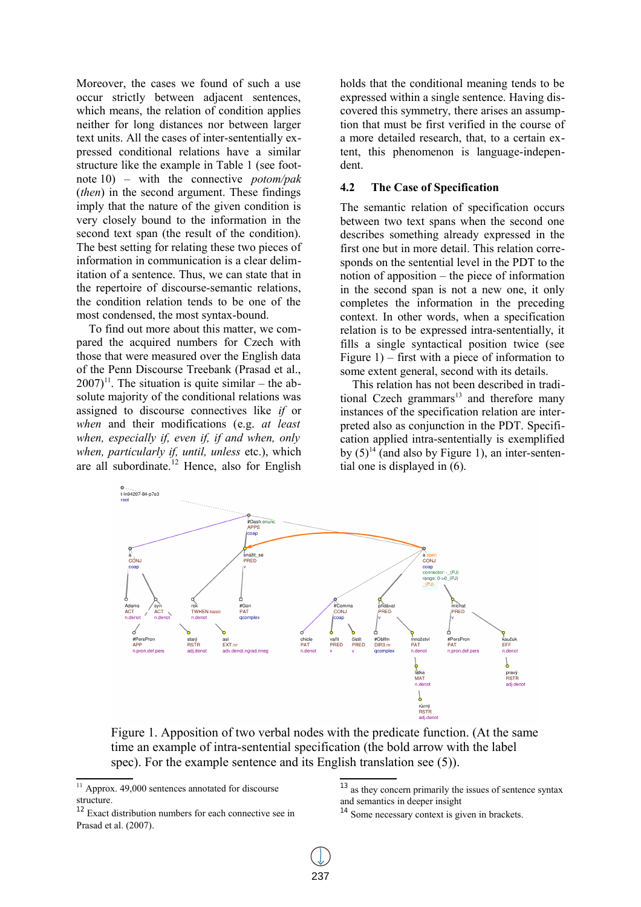Moreover, the cases we found of such a use occur strictly between adjacent sentences, which means, the relation of condition applies neither for long distances nor between larger text units. All the cases of inter-sententially expressed conditional relations have a similar structure like the example in Table 1 (see footnote 10) – with the connective *potom/pak* (*then*) in the second argument. These findings imply that the nature of the given condition is very closely bound to the information in the second text span (the result of the condition). The best setting for relating these two pieces of information in communication is a clear delimitation of a sentence. Thus, we can state that in the repertoire of discourse-semantic relations, the condition relation tends to be one of the most condensed, the most syntax-bound.

To find out more about this matter, we compared the acquired numbers for Czech with those that were measured over the English data of the Penn Discourse Treebank (Prasad et al.,  $2007$ <sup>11</sup>. The situation is quite similar – the absolute majority of the conditional relations was assigned to discourse connectives like *if* or *when* and their modifications (e.g. *at least when, especially if, even if, if and when, only when, particularly if, until, unless* etc.), which are all subordinate.<sup>12</sup> Hence, also for English holds that the conditional meaning tends to be expressed within a single sentence. Having discovered this symmetry, there arises an assumption that must be first verified in the course of a more detailed research, that, to a certain extent, this phenomenon is language-independent.

## **4.2 The Case of Specification**

The semantic relation of specification occurs between two text spans when the second one describes something already expressed in the first one but in more detail. This relation corresponds on the sentential level in the PDT to the notion of apposition – the piece of information in the second span is not a new one, it only completes the information in the preceding context. In other words, when a specification relation is to be expressed intra-sententially, it fills a single syntactical position twice (see Figure 1) – first with a piece of information to some extent general, second with its details.

This relation has not been described in traditional Czech grammars $13$  and therefore many instances of the specification relation are interpreted also as conjunction in the PDT. Specification applied intra-sententially is exemplified by  $(5)^{14}$  (and also by Figure 1), an inter-sentential one is displayed in (6).



Figure 1. Apposition of two verbal nodes with the predicate function. (At the same time an example of intra-sentential specification (the bold arrow with the label spec). For the example sentence and its English translation see (5)).

237

 $11$  Approx. 49,000 sentences annotated for discourse structure.

<sup>&</sup>lt;sup>12</sup> Exact distribution numbers for each connective see in Prasad et al. (2007).

<sup>13</sup> as they concern primarily the issues of sentence syntax and semantics in deeper insight

<sup>14</sup> Some necessary context is given in brackets.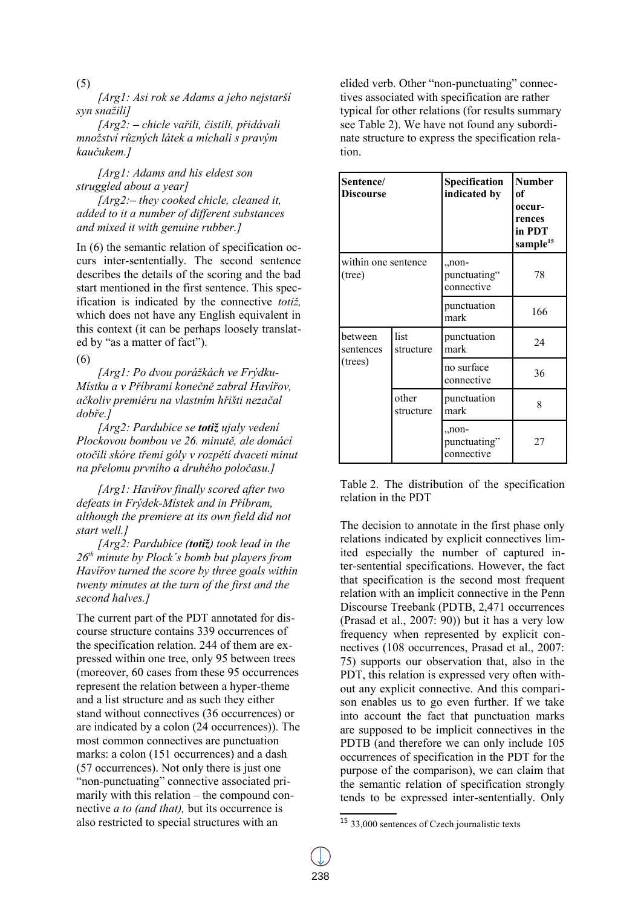(5)

*[Arg1: Asi rok se Adams a jeho nejstarší syn snažili]* 

*[Arg2: – chicle vařili, čistili, přidávali množství různých látek a míchali s pravým kaučukem.]* 

*[Arg1: Adams and his eldest son struggled about a year]* 

*[Arg2:– they cooked chicle, cleaned it, added to it a number of different substances and mixed it with genuine rubber.]* 

In (6) the semantic relation of specification occurs inter-sententially. The second sentence describes the details of the scoring and the bad start mentioned in the first sentence. This specification is indicated by the connective *totiž,* which does not have any English equivalent in this context (it can be perhaps loosely translated by "as a matter of fact").

(6)

*[Arg1: Po dvou porážkách ve Frýdku-Místku a v Příbrami konečně zabral Havířov, ačkoliv premiéru na vlastním hřišti nezačal dobře.]* 

*[Arg2: Pardubice se totiž ujaly vedení Plockovou bombou ve 26. minutě, ale domácí otočili skóre třemi góly v rozpětí dvaceti minut na přelomu prvního a druhého poločasu.]*

*[Arg1: Havířov finally scored after two defeats in Frýdek-Místek and in Příbram, although the premiere at its own field did not start well.]*

*[Arg2: Pardubice (totiž) took lead in the 26th minute by Plock´s bomb but players from Havířov turned the score by three goals within twenty minutes at the turn of the first and the second halves.]*

The current part of the PDT annotated for discourse structure contains 339 occurrences of the specification relation. 244 of them are expressed within one tree, only 95 between trees (moreover, 60 cases from these 95 occurrences represent the relation between a hyper-theme and a list structure and as such they either stand without connectives (36 occurrences) or are indicated by a colon (24 occurrences)). The most common connectives are punctuation marks: a colon (151 occurrences) and a dash (57 occurrences). Not only there is just one "non-punctuating" connective associated primarily with this relation – the compound connective *a to (and that),* but its occurrence is also restricted to special structures with an

elided verb. Other "non-punctuating" connectives associated with specification are rather typical for other relations (for results summary see Table 2). We have not found any subordinate structure to express the specification relation.

| Sentence/<br><b>Discourse</b>   |                    | Specification<br>indicated by        | <b>Number</b><br>of<br>occur-<br>rences<br>in PDT<br>sample <sup>15</sup> |
|---------------------------------|--------------------|--------------------------------------|---------------------------------------------------------------------------|
| within one sentence<br>(tree)   |                    | -non,<br>punctuating"<br>connective  | 78                                                                        |
|                                 |                    | punctuation<br>mark                  | 166                                                                       |
| between<br>sentences<br>(trees) | list<br>structure  | punctuation<br>mark                  | 24                                                                        |
|                                 |                    | no surface<br>connective             | 36                                                                        |
|                                 | other<br>structure | punctuation<br>mark                  | 8                                                                         |
|                                 |                    | ,,non-<br>punctuating"<br>connective | 27                                                                        |

Table 2. The distribution of the specification relation in the PDT

The decision to annotate in the first phase only relations indicated by explicit connectives limited especially the number of captured inter-sentential specifications. However, the fact that specification is the second most frequent relation with an implicit connective in the Penn Discourse Treebank (PDTB, 2,471 occurrences (Prasad et al., 2007: 90)) but it has a very low frequency when represented by explicit connectives (108 occurrences, Prasad et al., 2007: 75) supports our observation that, also in the PDT, this relation is expressed very often without any explicit connective. And this comparison enables us to go even further. If we take into account the fact that punctuation marks are supposed to be implicit connectives in the PDTB (and therefore we can only include 105 occurrences of specification in the PDT for the purpose of the comparison), we can claim that the semantic relation of specification strongly tends to be expressed inter-sententially. Only

<sup>15</sup> 33,000 sentences of Czech journalistic texts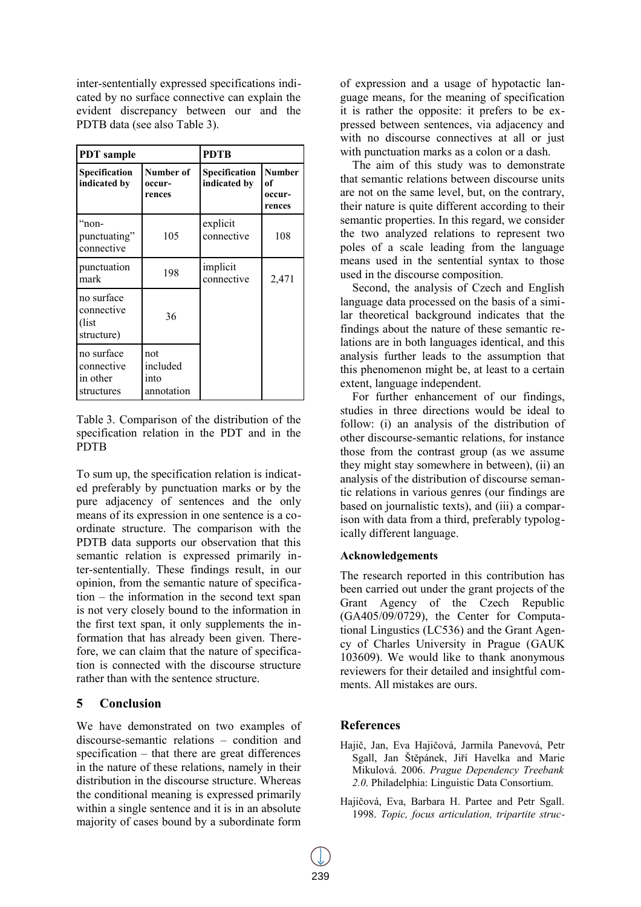inter-sententially expressed specifications indicated by no surface connective can explain the evident discrepancy between our and the PDTB data (see also Table 3).

| <b>PDT</b> sample                                  |                                       | <b>PDTB</b>                   |                                         |
|----------------------------------------------------|---------------------------------------|-------------------------------|-----------------------------------------|
| Specification<br>indicated by                      | Number of<br>occur-<br>rences         | Specification<br>indicated by | <b>Number</b><br>of<br>occur-<br>rences |
| "non-<br>punctuating"<br>connective                | 105                                   | explicit<br>connective        | 108                                     |
| punctuation<br>mark                                | 198                                   | implicit<br>connective        | 2,471                                   |
| no surface<br>connective<br>(list<br>structure)    | 36                                    |                               |                                         |
| no surface<br>connective<br>in other<br>structures | not<br>included<br>into<br>annotation |                               |                                         |

Table 3. Comparison of the distribution of the specification relation in the PDT and in the PDTB

To sum up, the specification relation is indicated preferably by punctuation marks or by the pure adjacency of sentences and the only means of its expression in one sentence is a coordinate structure. The comparison with the PDTB data supports our observation that this semantic relation is expressed primarily inter-sententially. These findings result, in our opinion, from the semantic nature of specification – the information in the second text span is not very closely bound to the information in the first text span, it only supplements the information that has already been given. Therefore, we can claim that the nature of specification is connected with the discourse structure rather than with the sentence structure.

## **5 Conclusion**

We have demonstrated on two examples of discourse-semantic relations – condition and specification – that there are great differences in the nature of these relations, namely in their distribution in the discourse structure. Whereas the conditional meaning is expressed primarily within a single sentence and it is in an absolute majority of cases bound by a subordinate form of expression and a usage of hypotactic language means, for the meaning of specification it is rather the opposite: it prefers to be expressed between sentences, via adjacency and with no discourse connectives at all or just with punctuation marks as a colon or a dash.

The aim of this study was to demonstrate that semantic relations between discourse units are not on the same level, but, on the contrary, their nature is quite different according to their semantic properties. In this regard, we consider the two analyzed relations to represent two poles of a scale leading from the language means used in the sentential syntax to those used in the discourse composition.

Second, the analysis of Czech and English language data processed on the basis of a similar theoretical background indicates that the findings about the nature of these semantic relations are in both languages identical, and this analysis further leads to the assumption that this phenomenon might be, at least to a certain extent, language independent.

For further enhancement of our findings, studies in three directions would be ideal to follow: (i) an analysis of the distribution of other discourse-semantic relations, for instance those from the contrast group (as we assume they might stay somewhere in between), (ii) an analysis of the distribution of discourse semantic relations in various genres (our findings are based on journalistic texts), and (iii) a comparison with data from a third, preferably typologically different language.

## **Acknowledgements**

The research reported in this contribution has been carried out under the grant projects of the Grant Agency of the Czech Republic (GA405/09/0729), the Center for Computational Lingustics (LC536) and the Grant Agency of Charles University in Prague (GAUK 103609). We would like to thank anonymous reviewers for their detailed and insightful comments. All mistakes are ours.

## **References**

- Hajič, Jan, Eva Hajičová, Jarmila Panevová, Petr Sgall, Jan Štěpánek, Jiří Havelka and Marie Mikulová. 2006. *Prague Dependency Treebank 2.0*. Philadelphia: Linguistic Data Consortium.
- Hajičová, Eva, Barbara H. Partee and Petr Sgall. 1998. *Topic, focus articulation, tripartite struc-*